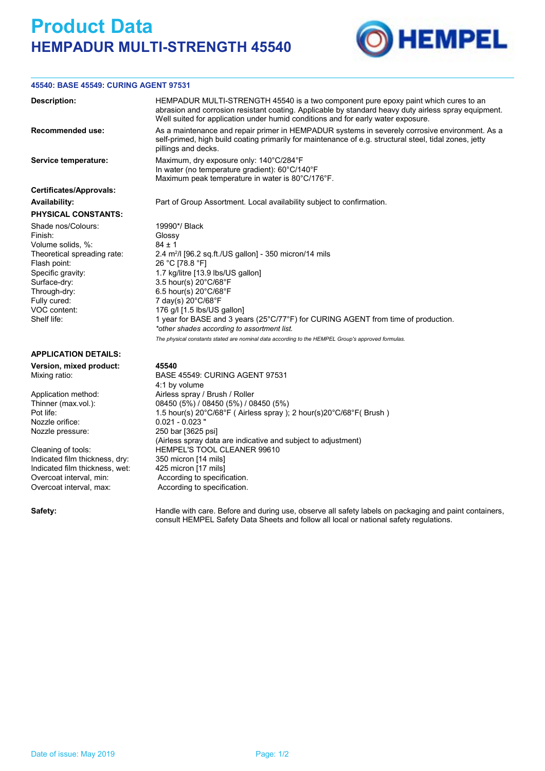## **Product Data HEMPADUR MULTI-STRENGTH 45540**



## **45540: BASE 45549: CURING AGENT 97531**

| <b>Description:</b>                                                                                                                                                                                   | HEMPADUR MULTI-STRENGTH 45540 is a two component pure epoxy paint which cures to an<br>abrasion and corrosion resistant coating. Applicable by standard heavy duty airless spray equipment.<br>Well suited for application under humid conditions and for early water exposure.                                                                                                                                                                                                                            |
|-------------------------------------------------------------------------------------------------------------------------------------------------------------------------------------------------------|------------------------------------------------------------------------------------------------------------------------------------------------------------------------------------------------------------------------------------------------------------------------------------------------------------------------------------------------------------------------------------------------------------------------------------------------------------------------------------------------------------|
| <b>Recommended use:</b>                                                                                                                                                                               | As a maintenance and repair primer in HEMPADUR systems in severely corrosive environment. As a<br>self-primed, high build coating primarily for maintenance of e.g. structural steel, tidal zones, jetty<br>pillings and decks.                                                                                                                                                                                                                                                                            |
| Service temperature:                                                                                                                                                                                  | Maximum, dry exposure only: 140°C/284°F<br>In water (no temperature gradient): 60°C/140°F<br>Maximum peak temperature in water is 80°C/176°F.                                                                                                                                                                                                                                                                                                                                                              |
| <b>Certificates/Approvals:</b>                                                                                                                                                                        |                                                                                                                                                                                                                                                                                                                                                                                                                                                                                                            |
| <b>Availability:</b>                                                                                                                                                                                  | Part of Group Assortment. Local availability subject to confirmation.                                                                                                                                                                                                                                                                                                                                                                                                                                      |
| <b>PHYSICAL CONSTANTS:</b>                                                                                                                                                                            |                                                                                                                                                                                                                                                                                                                                                                                                                                                                                                            |
| Shade nos/Colours:<br>Finish:<br>Volume solids, %:<br>Theoretical spreading rate:<br>Flash point:<br>Specific gravity:<br>Surface-dry:<br>Through-dry:<br>Fully cured:<br>VOC content:<br>Shelf life: | 19990*/ Black<br>Glossy<br>$84 \pm 1$<br>2.4 $m^2$ /I [96.2 sq.ft./US gallon] - 350 micron/14 mils<br>26 °C [78.8 °F]<br>1.7 kg/litre [13.9 lbs/US gallon]<br>3.5 hour(s) 20°C/68°F<br>6.5 hour(s) 20°C/68°F<br>7 day(s) 20°C/68°F<br>176 g/l [1.5 lbs/US gallon]<br>1 year for BASE and 3 years (25°C/77°F) for CURING AGENT from time of production.<br>*other shades according to assortment list.<br>The physical constants stated are nominal data according to the HEMPEL Group's approved formulas. |
| <b>APPLICATION DETAILS:</b>                                                                                                                                                                           |                                                                                                                                                                                                                                                                                                                                                                                                                                                                                                            |
| Version, mixed product:<br>Mixing ratio:                                                                                                                                                              | 45540<br><b>BASE 45549: CURING AGENT 97531</b><br>4:1 by volume                                                                                                                                                                                                                                                                                                                                                                                                                                            |
| Application method:<br>Thinner (max vol.):<br>Pot life:<br>$\sim$ $\sim$ $\sim$ $\sim$                                                                                                                | Airless spray / Brush / Roller<br>08450 (5%) / 08450 (5%) / 08450 (5%)<br>1.5 hour(s) 20°C/68°F (Airless spray); 2 hour(s)20°C/68°F (Brush)                                                                                                                                                                                                                                                                                                                                                                |

Nozzle orifice: 0.021 - 0.023

Indicated film thickness, dry: 350 micron [14 mils]<br>Indicated film thickness, wet: 425 micron [17 mils] Indicated film thickness, wet: Overcoat interval, min: <br>
Overcoat interval. max: <br>
According to specification.

Nozzle pressure: 250 bar [3625 psi] (Airless spray data are indicative and subject to adjustment) Cleaning of tools: HEMPEL'S TOOL CLEANER 99610

According to specification.

Safety: **Handle with care. Before and during use, observe all safety labels on packaging and paint containers,** consult HEMPEL Safety Data Sheets and follow all local or national safety regulations.